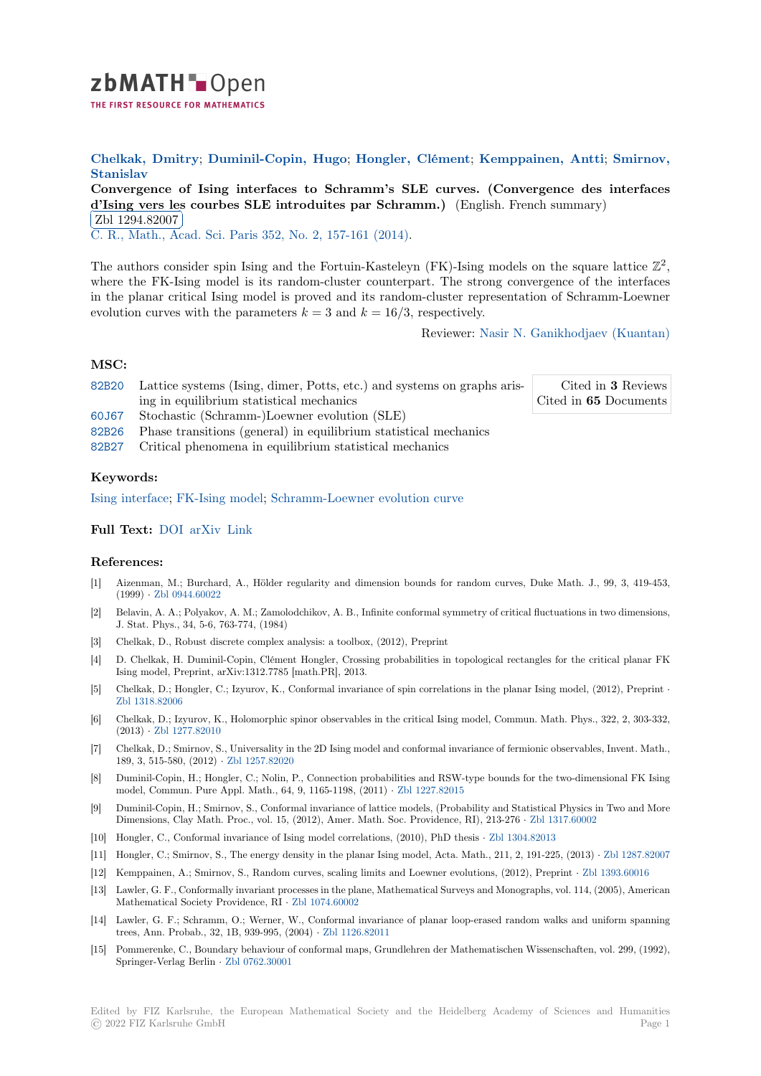

**Chelkak, Dmitry**; **Duminil-Copin, Hugo**; **Hongler, Clément**; **Kemppainen, Antti**; **Smirnov, [S](https://zbmath.org/)tanislav**

**Convergence of Ising interfaces to Schramm's SLE curves. (Convergence des interfaces d'Ising vers les courbes SLE introduites par Schramm.**) (English. French summary) [Zbl 1294.82007](https://zbmath.org/authors/?q=ai:chelkak.dmitry)

[C. R., Mat](https://zbmath.org/authors/?q=ai:smirnov.stanislav-k)h., Acad. Sci. Paris [352, No. 2, 157-](https://zbmath.org/authors/?q=ai:duminil-copin.hugo)[161 \(2014\).](https://zbmath.org/authors/?q=ai:hongler.clement)

[The authors consider spin Ising and the Fortuin-Kasteleyn \(FK\)-Ising models on the square lattice](https://zbmath.org/1294.82007)  $\mathbb{Z}^2$ , [where the FK-Isin](https://zbmath.org/1294.82007)g model is its random-cluster counterpart. The strong convergence of the interfaces [in the planar critical Ising mo](https://zbmath.org/journals/?q=se:2925)[del is proved and its rando](https://zbmath.org/?q=in:329175)m-cluster representation of Schramm-Loewner evolution curves with the parameters  $k = 3$  and  $k = 16/3$ , respectively.

Reviewer: Nasir N. Ganikhodjaev (Kuantan)

## **MSC:**

82B20 Lattice systems (Ising, dimer, Potts, etc.) and systems on graphs arising in equilibrium statistical mechanics

Cited in **3** Reviews Cited in **65** [Documents](https://zbmath.org/authors/?q=ganikhodjaev.nasir-n)

- 60J67 Stochastic (Schramm-)Loewner evolution (SLE)
- 82B26 Phase transitions (general) in equilibrium statistical mechanics
- [82B27](https://zbmath.org/classification/?q=cc:82B20) Critical phenomena in equilibrium statistical mechanics

## **[Keyw](https://zbmath.org/classification/?q=cc:60J67)ords:**

[Ising i](https://zbmath.org/classification/?q=cc:82B26)nterface; FK-Ising model; Schramm-Loewner evolution curve

## **Full Text:** DOI arXiv Link

## **[References:](https://zbmath.org/?q=ut:Ising+interface)**

- [1] Aizenman, M.; Burchar[d, A.,](http://citeseerx.ist.psu.edu/viewdoc/summary?doi=10.1.1.747.1029) Hölder regularity and dimension bounds for random curves, Duke Math. J., 99, 3, 419-453, (1999) *·* [Zbl 094](https://dx.doi.org/10.1016/j.crma.2013.12.002)[4.60022](https://arxiv.org/abs/1312.0533)
- [2] Belavin, A. A.; Polyakov, A. M.; Zamolodchikov, A. B., Infinite conformal symmetry of critical fluctuations in two dimensions, J. Stat. Phys., 34, 5-6, 763-774, (1984)
- [3] Chelkak, D., Robust discrete complex analysis: a toolbox, (2012), Preprint
- [4] D. Chel[kak, H. Duminil](https://zbmath.org/0944.60022)-Copin, Clément Hongler, Crossing probabilities in topological rectangles for the critical planar FK Ising model, Preprint, arXiv:1312.7785 [math.PR], 2013.
- [5] Chelkak, D.; Hongler, C.; Izyurov, K., Conformal invariance of spin correlations in the planar Ising model, (2012), Preprint *·* Zbl 1318.82006
- [6] Chelkak, D.; Izyurov, K., Holomorphic spinor observables in the critical Ising model, Commun. Math. Phys., 322, 2, 303-332, (2013) *·* Zbl 1277.82010
- [7] Chelkak, D.; Smirnov, S., Universality in the 2D Ising model and conformal invariance of fermionic observables, Invent. Math., [189, 3, 515-580](https://zbmath.org/1318.82006), (2012) *·* Zbl 1257.82020
- [8] Duminil-Copin, H.; Hongler, C.; Nolin, P., Connection probabilities and RSW-type bounds for the two-dimensional FK Ising model, [Commun. Pure A](https://zbmath.org/1277.82010)ppl. Math., 64, 9, 1165-1198, (2011) *·* Zbl 1227.82015
- [9] Duminil-Copin, H.; Smirnov, S., Conformal invariance of lattice models, (Probability and Statistical Physics in Two and More Dimensions, Clay Math. [Proc., vol. 15, \(](https://zbmath.org/1257.82020)2012), Amer. Math. Soc. Providence, RI), 213-276 *·* Zbl 1317.60002
- [10] Hongler, C., Conformal invariance of Ising model correlations, (2010), PhD thesis *·* Zbl 1304.82013
- [11] Hongler, C.; Smirnov, S., The energy density in the planar Isin[g model, Acta. M](https://zbmath.org/1227.82015)ath., 211, 2, 191-225, (2013) *·* Zbl 1287.82007
- [12] Kemppainen, A.; Smirnov, S., Random curves, scaling limits and Loewner evolutions, (2012), Preprint *·* Zbl 1393.60016
- [13] Lawler, G. F., Conformally invariant processes in the plane, Mathematical Surveys an[d Monogr](https://zbmath.org/1304.82013)[aphs, vol. 114, \(](https://zbmath.org/1317.60002)2005), American Mathematical Society Providence, RI *·* Zbl 1074.60002
- [14] Lawler, G. F.; Schramm, O.; Werner, W., Conformal invariance of planar loop-erased random walks and un[iform spanning](https://zbmath.org/1287.82007) trees, Ann. Probab., 32, 1B, 939-995, (2004) *·* Zbl 1126.82011
- [15] Pommerenke, C., Boundary behaviour of conformal maps, Grundlehren der Mathematischen Wissenschaften, vol. 299, (1992), Springer-Verlag Berlin *·* Zbl 0762.30001